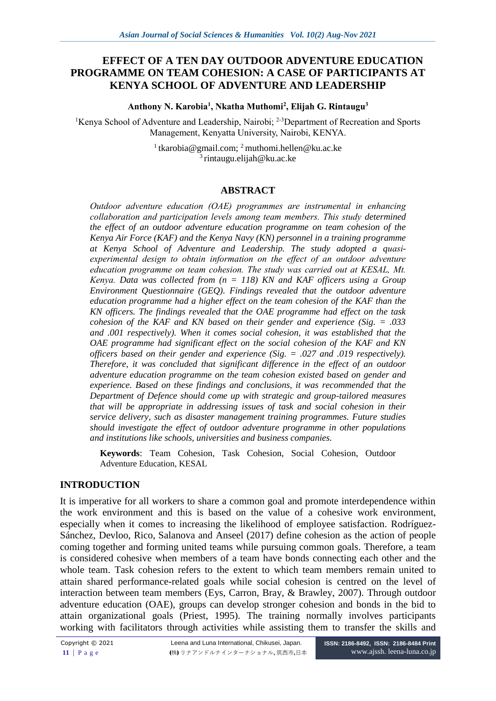# **EFFECT OF A TEN DAY OUTDOOR ADVENTURE EDUCATION PROGRAMME ON TEAM COHESION: A CASE OF PARTICIPANTS AT KENYA SCHOOL OF ADVENTURE AND LEADERSHIP**

**Anthony N. Karobia<sup>1</sup> , Nkatha Muthomi<sup>2</sup> , Elijah G. Rintaugu<sup>3</sup>**

<sup>1</sup>Kenva School of Adventure and Leadership, Nairobi; <sup>2-3</sup>Department of Recreation and Sports Management, Kenyatta University, Nairobi, KENYA.

> <sup>1</sup> [tkarobia@gmail.com;](mailto:tkarobia@gmail.com) <sup>2</sup> [muthomi.hellen@ku.ac.ke](mailto:muthomi.hellen@ku.ac.ke) <sup>3</sup>[rintaugu.elijah@ku.ac.ke](mailto:rintaugu.elijah@ku.ac.ke)

#### **ABSTRACT**

*Outdoor adventure education (OAE) programmes are instrumental in enhancing collaboration and participation levels among team members. This study determined the effect of an outdoor adventure education programme on team cohesion of the Kenya Air Force (KAF) and the Kenya Navy (KN) personnel in a training programme at Kenya School of Adventure and Leadership. The study adopted a quasiexperimental design to obtain information on the effect of an outdoor adventure education programme on team cohesion. The study was carried out at KESAL, Mt. Kenya. Data was collected from (n = 118) KN and KAF officers using a Group Environment Questionnaire (GEQ). Findings revealed that the outdoor adventure education programme had a higher effect on the team cohesion of the KAF than the KN officers. The findings revealed that the OAE programme had effect on the task cohesion of the KAF and KN based on their gender and experience (Sig. = .033 and .001 respectively). When it comes social cohesion, it was established that the OAE programme had significant effect on the social cohesion of the KAF and KN officers based on their gender and experience (Sig. = .027 and .019 respectively). Therefore, it was concluded that significant difference in the effect of an outdoor adventure education programme on the team cohesion existed based on gender and experience. Based on these findings and conclusions, it was recommended that the Department of Defence should come up with strategic and group-tailored measures that will be appropriate in addressing issues of task and social cohesion in their service delivery, such as disaster management training programmes. Future studies should investigate the effect of outdoor adventure programme in other populations and institutions like schools, universities and business companies.* 

**Keywords**: Team Cohesion, Task Cohesion, Social Cohesion, Outdoor Adventure Education, KESAL

### **INTRODUCTION**

It is imperative for all workers to share a common goal and promote interdependence within the work environment and this is based on the value of a cohesive work environment, especially when it comes to increasing the likelihood of employee satisfaction. Rodríguez-Sánchez, Devloo, Rico, Salanova and Anseel (2017) define cohesion as the action of people coming together and forming united teams while pursuing common goals. Therefore, a team is considered cohesive when members of a team have bonds connecting each other and the whole team. Task cohesion refers to the extent to which team members remain united to attain shared performance-related goals while social cohesion is centred on the level of interaction between team members (Eys, Carron, Bray, & Brawley, 2007). Through outdoor adventure education (OAE), groups can develop stronger cohesion and bonds in the bid to attain organizational goals (Priest, 1995). The training normally involves participants working with facilitators through activities while assisting them to transfer the skills and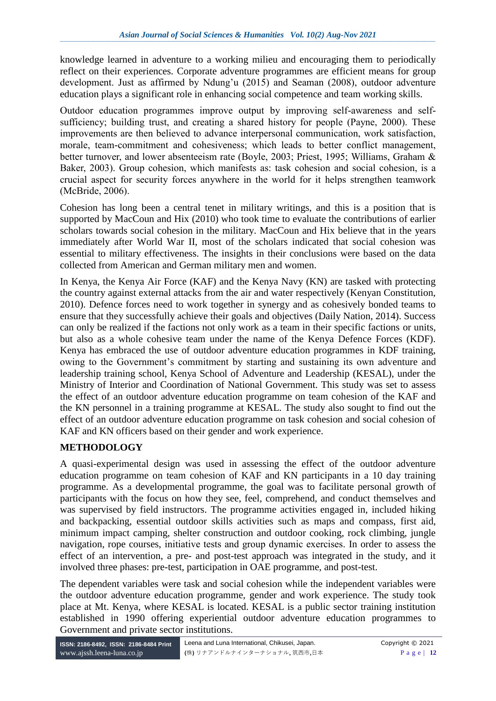knowledge learned in adventure to a working milieu and encouraging them to periodically reflect on their experiences. Corporate adventure programmes are efficient means for group development. Just as affirmed by Ndung'u (2015) and Seaman (2008), outdoor adventure education plays a significant role in enhancing social competence and team working skills.

Outdoor education programmes improve output by improving self-awareness and selfsufficiency; building trust, and creating a shared history for people (Payne, 2000). These improvements are then believed to advance interpersonal communication, work satisfaction, morale, team-commitment and cohesiveness; which leads to better conflict management, better turnover, and lower absenteeism rate (Boyle, 2003; Priest, 1995; Williams, Graham & Baker, 2003). Group cohesion, which manifests as: task cohesion and social cohesion, is a crucial aspect for security forces anywhere in the world for it helps strengthen teamwork (McBride, 2006).

Cohesion has long been a central tenet in military writings, and this is a position that is supported by MacCoun and Hix (2010) who took time to evaluate the contributions of earlier scholars towards social cohesion in the military. MacCoun and Hix believe that in the years immediately after World War II, most of the scholars indicated that social cohesion was essential to military effectiveness. The insights in their conclusions were based on the data collected from American and German military men and women.

In Kenya, the Kenya Air Force (KAF) and the Kenya Navy (KN) are tasked with protecting the country against external attacks from the air and water respectively (Kenyan Constitution, 2010). Defence forces need to work together in synergy and as cohesively bonded teams to ensure that they successfully achieve their goals and objectives (Daily Nation, 2014). Success can only be realized if the factions not only work as a team in their specific factions or units, but also as a whole cohesive team under the name of the Kenya Defence Forces (KDF). Kenya has embraced the use of outdoor adventure education programmes in KDF training, owing to the Government's commitment by starting and sustaining its own adventure and leadership training school, Kenya School of Adventure and Leadership (KESAL), under the Ministry of Interior and Coordination of National Government. This study was set to assess the effect of an outdoor adventure education programme on team cohesion of the KAF and the KN personnel in a training programme at KESAL. The study also sought to find out the effect of an outdoor adventure education programme on task cohesion and social cohesion of KAF and KN officers based on their gender and work experience.

# **METHODOLOGY**

A quasi-experimental design was used in assessing the effect of the outdoor adventure education programme on team cohesion of KAF and KN participants in a 10 day training programme. As a developmental programme, the goal was to facilitate personal growth of participants with the focus on how they see, feel, comprehend, and conduct themselves and was supervised by field instructors. The programme activities engaged in, included hiking and backpacking, essential outdoor skills activities such as maps and compass, first aid, minimum impact camping, shelter construction and outdoor cooking, rock climbing, jungle navigation, rope courses, initiative tests and group dynamic exercises. In order to assess the effect of an intervention, a pre- and post-test approach was integrated in the study, and it involved three phases: pre-test, participation in OAE programme, and post-test.

The dependent variables were task and social cohesion while the independent variables were the outdoor adventure education programme, gender and work experience. The study took place at Mt. Kenya, where KESAL is located. KESAL is a public sector training institution established in 1990 offering experiential outdoor adventure education programmes to Government and private sector institutions.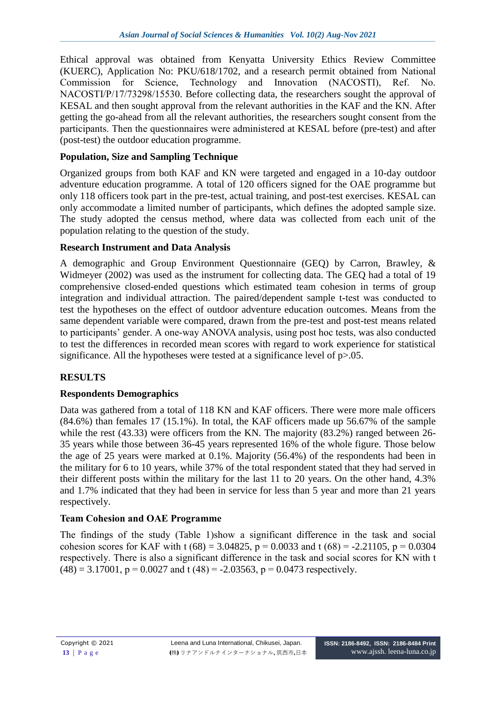Ethical approval was obtained from Kenyatta University Ethics Review Committee (KUERC), Application No: PKU/618/1702, and a research permit obtained from National Commission for Science, Technology and Innovation (NACOSTI), Ref. No. NACOSTI/P/17/73298/15530. Before collecting data, the researchers sought the approval of KESAL and then sought approval from the relevant authorities in the KAF and the KN. After getting the go-ahead from all the relevant authorities, the researchers sought consent from the participants. Then the questionnaires were administered at KESAL before (pre-test) and after (post-test) the outdoor education programme.

# **Population, Size and Sampling Technique**

Organized groups from both KAF and KN were targeted and engaged in a 10-day outdoor adventure education programme. A total of 120 officers signed for the OAE programme but only 118 officers took part in the pre-test, actual training, and post-test exercises. KESAL can only accommodate a limited number of participants, which defines the adopted sample size. The study adopted the census method, where data was collected from each unit of the population relating to the question of the study.

### **Research Instrument and Data Analysis**

A demographic and Group Environment Questionnaire (GEQ) by Carron, Brawley, & Widmeyer (2002) was used as the instrument for collecting data. The GEQ had a total of 19 comprehensive closed-ended questions which estimated team cohesion in terms of group integration and individual attraction. The paired/dependent sample t-test was conducted to test the hypotheses on the effect of outdoor adventure education outcomes. Means from the same dependent variable were compared, drawn from the pre-test and post-test means related to participants' gender. A one-way ANOVA analysis, using post hoc tests, was also conducted to test the differences in recorded mean scores with regard to work experience for statistical significance. All the hypotheses were tested at a significance level of  $p>0.05$ .

### **RESULTS**

### **Respondents Demographics**

Data was gathered from a total of 118 KN and KAF officers. There were more male officers (84.6%) than females 17 (15.1%). In total, the KAF officers made up 56.67% of the sample while the rest (43.33) were officers from the KN. The majority (83.2%) ranged between 26-35 years while those between 36-45 years represented 16% of the whole figure. Those below the age of 25 years were marked at 0.1%. Majority (56.4%) of the respondents had been in the military for 6 to 10 years, while 37% of the total respondent stated that they had served in their different posts within the military for the last 11 to 20 years. On the other hand, 4.3% and 1.7% indicated that they had been in service for less than 5 year and more than 21 years respectively.

### **Team Cohesion and OAE Programme**

The findings of the study (Table 1)show a significant difference in the task and social cohesion scores for KAF with t (68) = 3.04825, p = 0.0033 and t (68) = -2.21105, p = 0.0304 respectively. There is also a significant difference in the task and social scores for KN with t  $(48) = 3.17001$ ,  $p = 0.0027$  and t  $(48) = -2.03563$ ,  $p = 0.0473$  respectively.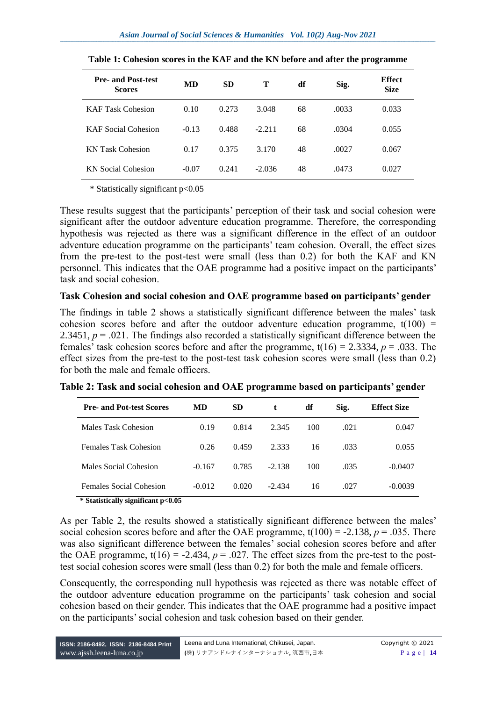| <b>Pre- and Post-test</b><br><b>Scores</b> | MD      | <b>SD</b> | т        | df | Sig.  | <b>Effect</b><br><b>Size</b> |
|--------------------------------------------|---------|-----------|----------|----|-------|------------------------------|
| <b>KAF Task Cohesion</b>                   | 0.10    | 0.273     | 3.048    | 68 | .0033 | 0.033                        |
| <b>KAF Social Cohesion</b>                 | $-0.13$ | 0.488     | $-2.211$ | 68 | .0304 | 0.055                        |
| <b>KN Task Cohesion</b>                    | 0.17    | 0.375     | 3.170    | 48 | .0027 | 0.067                        |
| <b>KN</b> Social Cohesion                  | $-0.07$ | 0.241     | $-2.036$ | 48 | .0473 | 0.027                        |

**Table 1: Cohesion scores in the KAF and the KN before and after the programme**

\* Statistically significant p<0.05

These results suggest that the participants' perception of their task and social cohesion were significant after the outdoor adventure education programme. Therefore, the corresponding hypothesis was rejected as there was a significant difference in the effect of an outdoor adventure education programme on the participants' team cohesion. Overall, the effect sizes from the pre-test to the post-test were small (less than 0.2) for both the KAF and KN personnel. This indicates that the OAE programme had a positive impact on the participants' task and social cohesion.

#### **Task Cohesion and social cohesion and OAE programme based on participants' gender**

The findings in table 2 shows a statistically significant difference between the males' task cohesion scores before and after the outdoor adventure education programme,  $t(100)$  = 2.3451,  $p = 0.021$ . The findings also recorded a statistically significant difference between the females' task cohesion scores before and after the programme,  $t(16) = 2.3334$ ,  $p = .033$ . The effect sizes from the pre-test to the post-test task cohesion scores were small (less than 0.2) for both the male and female officers.

| <b>Pre- and Pot-test Scores</b> | MD       | <b>SD</b> | t        | df  | Sig. | <b>Effect Size</b> |
|---------------------------------|----------|-----------|----------|-----|------|--------------------|
| Males Task Cohesion             | 0.19     | 0.814     | 2.345    | 100 | .021 | 0.047              |
| <b>Females Task Cohesion</b>    | 0.26     | 0.459     | 2.333    | 16  | .033 | 0.055              |
| Males Social Cohesion           | $-0.167$ | 0.785     | $-2.138$ | 100 | .035 | $-0.0407$          |
| <b>Females Social Cohesion</b>  | $-0.012$ | 0.020     | $-2.434$ | 16  | .027 | $-0.0039$          |

**Table 2: Task and social cohesion and OAE programme based on participants' gender**

**\* Statistically significant p<0.05**

As per Table 2, the results showed a statistically significant difference between the males' social cohesion scores before and after the OAE programme,  $t(100) = -2.138$ ,  $p = .035$ . There was also significant difference between the females' social cohesion scores before and after the OAE programme,  $t(16) = -2.434$ ,  $p = .027$ . The effect sizes from the pre-test to the posttest social cohesion scores were small (less than 0.2) for both the male and female officers.

Consequently, the corresponding null hypothesis was rejected as there was notable effect of the outdoor adventure education programme on the participants' task cohesion and social cohesion based on their gender. This indicates that the OAE programme had a positive impact on the participants' social cohesion and task cohesion based on their gender.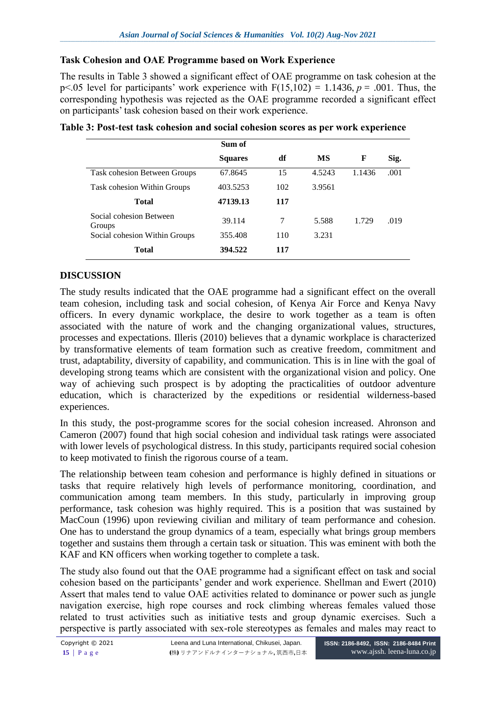#### **Task Cohesion and OAE Programme based on Work Experience**

The results in Table 3 showed a significant effect of OAE programme on task cohesion at the p<.05 level for participants' work experience with  $F(15,102) = 1.1436$ ,  $p = .001$ . Thus, the corresponding hypothesis was rejected as the OAE programme recorded a significant effect on participants' task cohesion based on their work experience.

|                                     | Sum of         |     |        |        |      |
|-------------------------------------|----------------|-----|--------|--------|------|
|                                     | <b>Squares</b> | df  | MS     | F      | Sig. |
| <b>Task cohesion Between Groups</b> | 67.8645        | 15  | 4.5243 | 1.1436 | .001 |
| Task cohesion Within Groups         | 403.5253       | 102 | 3.9561 |        |      |
| <b>Total</b>                        | 47139.13       | 117 |        |        |      |
| Social cohesion Between<br>Groups   | 39.114         | 7   | 5.588  | 1.729  | .019 |
| Social cohesion Within Groups       | 355.408        | 110 | 3.231  |        |      |
| <b>Total</b>                        | 394.522        | 117 |        |        |      |

| Table 3: Post-test task cohesion and social cohesion scores as per work experience |  |  |  |  |  |
|------------------------------------------------------------------------------------|--|--|--|--|--|
|                                                                                    |  |  |  |  |  |

# **DISCUSSION**

The study results indicated that the OAE programme had a significant effect on the overall team cohesion, including task and social cohesion, of Kenya Air Force and Kenya Navy officers. In every dynamic workplace, the desire to work together as a team is often associated with the nature of work and the changing organizational values, structures, processes and expectations. Illeris (2010) believes that a dynamic workplace is characterized by transformative elements of team formation such as creative freedom, commitment and trust, adaptability, diversity of capability, and communication. This is in line with the goal of developing strong teams which are consistent with the organizational vision and policy. One way of achieving such prospect is by adopting the practicalities of outdoor adventure education, which is characterized by the expeditions or residential wilderness-based experiences.

In this study, the post-programme scores for the social cohesion increased. Ahronson and Cameron (2007) found that high social cohesion and individual task ratings were associated with lower levels of psychological distress. In this study, participants required social cohesion to keep motivated to finish the rigorous course of a team.

The relationship between team cohesion and performance is highly defined in situations or tasks that require relatively high levels of performance monitoring, coordination, and communication among team members. In this study, particularly in improving group performance, task cohesion was highly required. This is a position that was sustained by MacCoun (1996) upon reviewing civilian and military of team performance and cohesion. One has to understand the group dynamics of a team, especially what brings group members together and sustains them through a certain task or situation. This was eminent with both the KAF and KN officers when working together to complete a task.

The study also found out that the OAE programme had a significant effect on task and social cohesion based on the participants' gender and work experience. Shellman and Ewert (2010) Assert that males tend to value OAE activities related to dominance or power such as jungle navigation exercise, high rope courses and rock climbing whereas females valued those related to trust activities such as initiative tests and group dynamic exercises. Such a perspective is partly associated with sex-role stereotypes as females and males may react to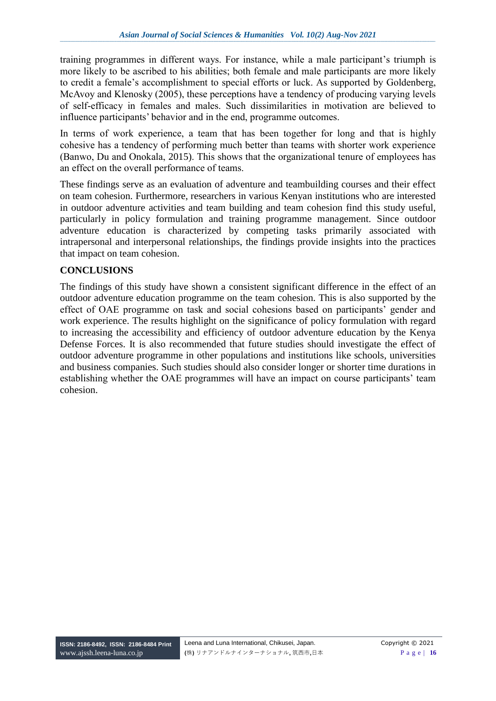training programmes in different ways. For instance, while a male participant's triumph is more likely to be ascribed to his abilities; both female and male participants are more likely to credit a female's accomplishment to special efforts or luck. As supported by Goldenberg, McAvoy and Klenosky (2005), these perceptions have a tendency of producing varying levels of self-efficacy in females and males. Such dissimilarities in motivation are believed to influence participants' behavior and in the end, programme outcomes.

In terms of work experience, a team that has been together for long and that is highly cohesive has a tendency of performing much better than teams with shorter work experience (Banwo, Du and Onokala, 2015). This shows that the organizational tenure of employees has an effect on the overall performance of teams.

These findings serve as an evaluation of adventure and teambuilding courses and their effect on team cohesion. Furthermore, researchers in various Kenyan institutions who are interested in outdoor adventure activities and team building and team cohesion find this study useful, particularly in policy formulation and training programme management. Since outdoor adventure education is characterized by competing tasks primarily associated with intrapersonal and interpersonal relationships, the findings provide insights into the practices that impact on team cohesion.

### **CONCLUSIONS**

The findings of this study have shown a consistent significant difference in the effect of an outdoor adventure education programme on the team cohesion. This is also supported by the effect of OAE programme on task and social cohesions based on participants' gender and work experience. The results highlight on the significance of policy formulation with regard to increasing the accessibility and efficiency of outdoor adventure education by the Kenya Defense Forces. It is also recommended that future studies should investigate the effect of outdoor adventure programme in other populations and institutions like schools, universities and business companies. Such studies should also consider longer or shorter time durations in establishing whether the OAE programmes will have an impact on course participants' team cohesion.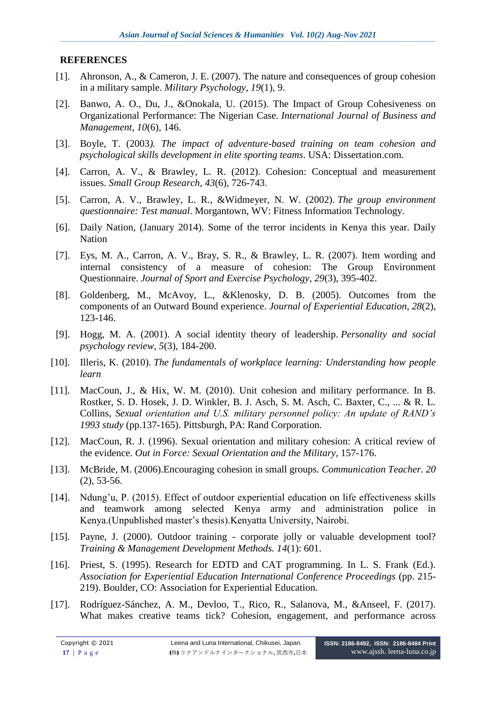#### **REFERENCES**

- [1]. Ahronson, A., & Cameron, J. E. (2007). The nature and consequences of group cohesion in a military sample. *Military Psychology*, *19*(1), 9.
- [2]. Banwo, A. O., Du, J., &Onokala, U. (2015). The Impact of Group Cohesiveness on Organizational Performance: The Nigerian Case. *International Journal of Business and Management*, *10*(6), 146.
- [3]. Boyle, T. (2003*). The impact of adventure-based training on team cohesion and psychological skills development in elite sporting teams*. USA: Dissertation.com.
- [4]. Carron, A. V., & Brawley, L. R. (2012). Cohesion: Conceptual and measurement issues. *Small Group Research*, *43*(6), 726-743.
- [5]. Carron, A. V., Brawley, L. R., &Widmeyer, N. W. (2002). *The group environment questionnaire: Test manual*. Morgantown, WV: Fitness Information Technology.
- [6]. Daily Nation, (January 2014). Some of the terror incidents in Kenya this year. Daily Nation
- [7]. Eys, M. A., Carron, A. V., Bray, S. R., & Brawley, L. R. (2007). Item wording and internal consistency of a measure of cohesion: The Group Environment Questionnaire. *Journal of Sport and Exercise Psychology*, *29*(3), 395-402.
- [8]. Goldenberg, M., McAvoy, L., &Klenosky, D. B. (2005). Outcomes from the components of an Outward Bound experience. *Journal of Experiential Education*, *28*(2), 123-146.
- [9]. Hogg, M. A. (2001). A social identity theory of leadership. *Personality and social psychology review*, *5*(3), 184-200.
- [10]. Illeris, K. (2010). *The fundamentals of workplace learning: Understanding how people learn*
- [11]. MacCoun, J., & Hix, W. M. (2010). Unit cohesion and military performance. In B. Rostker, S. D. Hosek, J. D. Winkler, B. J. Asch, S. M. Asch, C. Baxter, C., ... & R. L. Collins, *Sexual orientation and U.S. military personnel policy: An update of RAND's 1993 study* (pp.137-165). Pittsburgh, PA: Rand Corporation.
- [12]. MacCoun, R. J. (1996). Sexual orientation and military cohesion: A critical review of the evidence. *Out in Force: Sexual Orientation and the Military*, 157-176.
- [13]. McBride, M. (2006).Encouraging cohesion in small groups. *Communication Teacher. 20* (2), 53-56.
- [14]. Ndung'u, P. (2015). Effect of outdoor experiential education on life effectiveness skills and teamwork among selected Kenya army and administration police in Kenya.(Unpublished master's thesis).Kenyatta University, Nairobi.
- [15]. Payne, J. (2000). Outdoor training corporate jolly or valuable development tool? *Training & Management Development Methods. 14*(1): 601.
- [16]. Priest, S. (1995). Research for EDTD and CAT programming. In L. S. Frank (Ed.). *Association for Experiential Education International Conference Proceedings* (pp. 215- 219). Boulder, CO: Association for Experiential Education.
- [17]. Rodríguez-Sánchez, A. M., Devloo, T., Rico, R., Salanova, M., &Anseel, F. (2017). What makes creative teams tick? Cohesion, engagement, and performance across